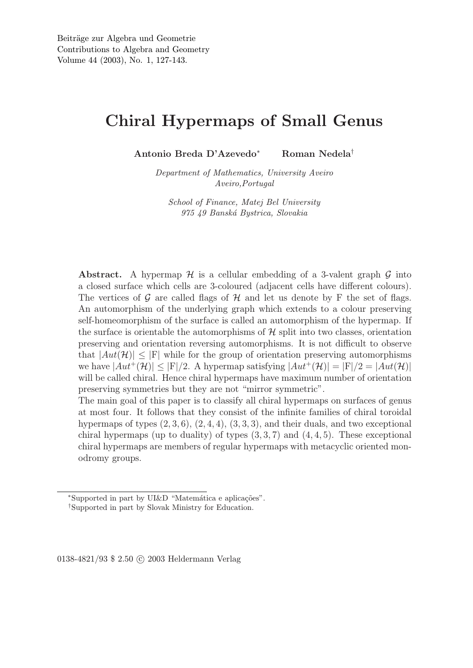# Chiral Hypermaps of Small Genus

Antonio Breda D'Azevedo<sup>∗</sup> Roman Nedela†

*Department of Mathematics, University Aveiro Aveiro,Portugal*

*School of Finance, Matej Bel University 975 49 Bansk´a Bystrica, Slovakia*

Abstract. A hypermap  $\mathcal H$  is a cellular embedding of a 3-valent graph  $\mathcal G$  into a closed surface which cells are 3-coloured (adjacent cells have different colours). The vertices of G are called flags of H and let us denote by F the set of flags. An automorphism of the underlying graph which extends to a colour preserving self-homeomorphism of the surface is called an automorphism of the hypermap. If the surface is orientable the automorphisms of  $\mathcal H$  split into two classes, orientation preserving and orientation reversing automorphisms. It is not difficult to observe that  $|Aut(\mathcal{H})| \leq |F|$  while for the group of orientation preserving automorphisms we have  $|Aut^+(\mathcal{H})| \leq |F|/2$ . A hypermap satisfying  $|Aut^+(\mathcal{H})| = |F|/2 = |Aut(\mathcal{H})|$ will be called chiral. Hence chiral hypermaps have maximum number of orientation preserving symmetries but they are not "mirror symmetric".

The main goal of this paper is to classify all chiral hypermaps on surfaces of genus at most four. It follows that they consist of the infinite families of chiral toroidal hypermaps of types  $(2, 3, 6)$ ,  $(2, 4, 4)$ ,  $(3, 3, 3)$ , and their duals, and two exceptional chiral hypermaps (up to duality) of types  $(3,3,7)$  and  $(4,4,5)$ . These exceptional chiral hypermaps are members of regular hypermaps with metacyclic oriented monodromy groups.

0138-4821/93 \$ 2.50 C 2003 Heldermann Verlag

<sup>\*</sup>Supported in part by UI&D "Matemática e aplicações".

<sup>†</sup>Supported in part by Slovak Ministry for Education.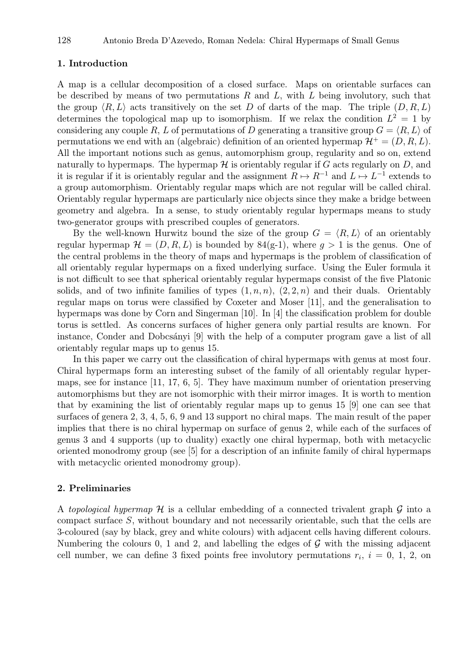# 1. Introduction

A map is a cellular decomposition of a closed surface. Maps on orientable surfaces can be described by means of two permutations  $R$  and  $L$ , with  $L$  being involutory, such that the group  $\langle R, L \rangle$  acts transitively on the set D of darts of the map. The triple  $(D, R, L)$ determines the topological map up to isomorphism. If we relax the condition  $L^2 = 1$  by considering any couple R, L of permutations of D generating a transitive group  $G = \langle R, L \rangle$  of permutations we end with an (algebraic) definition of an oriented hypermap  $\mathcal{H}^+ = (D, R, L)$ . All the important notions such as genus, automorphism group, regularity and so on, extend naturally to hypermaps. The hypermap  $\mathcal H$  is orientably regular if G acts regularly on D, and it is regular if it is orientably regular and the assignment  $R \mapsto R^{-1}$  and  $L \mapsto L^{-1}$  extends to a group automorphism. Orientably regular maps which are not regular will be called chiral. Orientably regular hypermaps are particularly nice objects since they make a bridge between geometry and algebra. In a sense, to study orientably regular hypermaps means to study two-generator groups with prescribed couples of generators.

By the well-known Hurwitz bound the size of the group  $G = \langle R, L \rangle$  of an orientably regular hypermap  $\mathcal{H} = (D, R, L)$  is bounded by 84(g-1), where  $g > 1$  is the genus. One of the central problems in the theory of maps and hypermaps is the problem of classification of all orientably regular hypermaps on a fixed underlying surface. Using the Euler formula it is not difficult to see that spherical orientably regular hypermaps consist of the five Platonic solids, and of two infinite families of types  $(1, n, n)$ ,  $(2, 2, n)$  and their duals. Orientably regular maps on torus were classified by Coxeter and Moser [11], and the generalisation to hypermaps was done by Corn and Singerman [10]. In [4] the classification problem for double torus is settled. As concerns surfaces of higher genera only partial results are known. For instance, Conder and Dobcsányi [9] with the help of a computer program gave a list of all orientably regular maps up to genus 15.

In this paper we carry out the classification of chiral hypermaps with genus at most four. Chiral hypermaps form an interesting subset of the family of all orientably regular hypermaps, see for instance [11, 17, 6, 5]. They have maximum number of orientation preserving automorphisms but they are not isomorphic with their mirror images. It is worth to mention that by examining the list of orientably regular maps up to genus 15 [9] one can see that surfaces of genera 2, 3, 4, 5, 6, 9 and 13 support no chiral maps. The main result of the paper implies that there is no chiral hypermap on surface of genus 2, while each of the surfaces of genus 3 and 4 supports (up to duality) exactly one chiral hypermap, both with metacyclic oriented monodromy group (see [5] for a description of an infinite family of chiral hypermaps with metacyclic oriented monodromy group).

## 2. Preliminaries

A *topological hypermap* H is a cellular embedding of a connected trivalent graph G into a compact surface S, without boundary and not necessarily orientable, such that the cells are 3-coloured (say by black, grey and white colours) with adjacent cells having different colours. Numbering the colours 0, 1 and 2, and labelling the edges of  $\mathcal G$  with the missing adjacent cell number, we can define 3 fixed points free involutory permutations  $r_i$ ,  $i = 0, 1, 2,$  on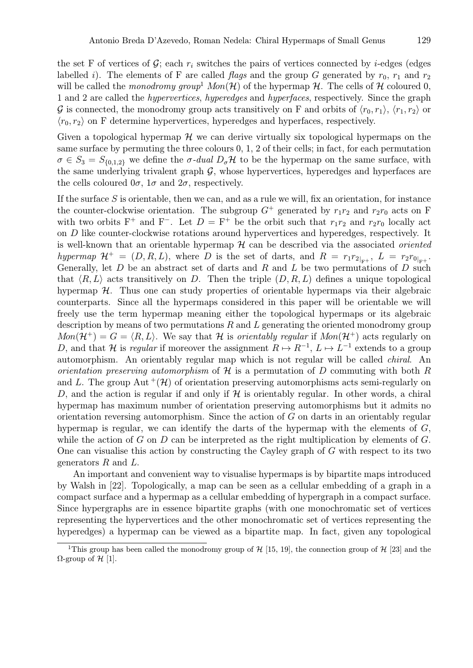the set F of vertices of G; each  $r_i$  switches the pairs of vertices connected by i-edges (edges labelled i). The elements of F are called *flags* and the group G generated by  $r_0$ ,  $r_1$  and  $r_2$ will be called the *monodromy group*<sup>1</sup>  $Mon(\mathcal{H})$  of the hypermap  $\mathcal{H}$ . The cells of  $\mathcal{H}$  coloured 0, 1 and 2 are called the *hypervertices*, *hyperedges* and *hyperfaces*, respectively. Since the graph G is connected, the monodromy group acts transitively on F and orbits of  $\langle r_0, r_1 \rangle$ ,  $\langle r_1, r_2 \rangle$  or  $\langle r_0, r_2 \rangle$  on F determine hypervertices, hyperedges and hyperfaces, respectively.

Given a topological hypermap  $\mathcal H$  we can derive virtually six topological hypermaps on the same surface by permuting the three colours 0, 1, 2 of their cells; in fact, for each permutation  $\sigma \in S_3 = S_{\{0,1,2\}}$  we define the  $\sigma$ -dual  $D_{\sigma} \mathcal{H}$  to be the hypermap on the same surface, with the same underlying trivalent graph  $\mathcal{G}$ , whose hypervertices, hyperedges and hyperfaces are the cells coloured  $0\sigma$ ,  $1\sigma$  and  $2\sigma$ , respectively.

If the surface  $S$  is orientable, then we can, and as a rule we will, fix an orientation, for instance the counter-clockwise orientation. The subgroup  $G^+$  generated by  $r_1r_2$  and  $r_2r_0$  acts on F with two orbits F<sup>+</sup> and F<sup>-</sup>. Let  $D = F^+$  be the orbit such that  $r_1r_2$  and  $r_2r_0$  locally act on D like counter-clockwise rotations around hypervertices and hyperedges, respectively. It is well-known that an orientable hypermap H can be described via the associated *oriented* hypermap  $\mathcal{H}^+ = (D, R, L)$ , where D is the set of darts, and  $R = r_1 r_{2|_{F^+}}$ ,  $L = r_2 r_{0|_{F^+}}$ . Generally, let  $D$  be an abstract set of darts and  $R$  and  $L$  be two permutations of  $D$  such that  $\langle R, L \rangle$  acts transitively on D. Then the triple  $(D, R, L)$  defines a unique topological hypermap  $H$ . Thus one can study properties of orientable hypermaps via their algebraic counterparts. Since all the hypermaps considered in this paper will be orientable we will freely use the term hypermap meaning either the topological hypermaps or its algebraic description by means of two permutations  $R$  and  $L$  generating the oriented monodromy group  $Mon(\mathcal{H}^+) = G = \langle R, L \rangle$ . We say that H is *orientably regular* if  $Mon(\mathcal{H}^+)$  acts regularly on D, and that H is *regular* if moreover the assignment  $R \mapsto R^{-1}$ ,  $L \mapsto L^{-1}$  extends to a group automorphism. An orientably regular map which is not regular will be called *chiral*. An *orientation preserving automorphism* of H is a permutation of D commuting with both R and L. The group Aut  $^{+}(\mathcal{H})$  of orientation preserving automorphisms acts semi-regularly on D, and the action is regular if and only if  $H$  is orientably regular. In other words, a chiral hypermap has maximum number of orientation preserving automorphisms but it admits no orientation reversing automorphism. Since the action of G on darts in an orientably regular hypermap is regular, we can identify the darts of the hypermap with the elements of  $G$ , while the action of G on D can be interpreted as the right multiplication by elements of  $G$ . One can visualise this action by constructing the Cayley graph of  $G$  with respect to its two generators R and L.

An important and convenient way to visualise hypermaps is by bipartite maps introduced by Walsh in [22]. Topologically, a map can be seen as a cellular embedding of a graph in a compact surface and a hypermap as a cellular embedding of hypergraph in a compact surface. Since hypergraphs are in essence bipartite graphs (with one monochromatic set of vertices representing the hypervertices and the other monochromatic set of vertices representing the hyperedges) a hypermap can be viewed as a bipartite map. In fact, given any topological

<sup>&</sup>lt;sup>1</sup>This group has been called the monodromy group of  $H$  [15, 19], the connection group of  $H$  [23] and the  $Ω$ -group of  $H$  [1].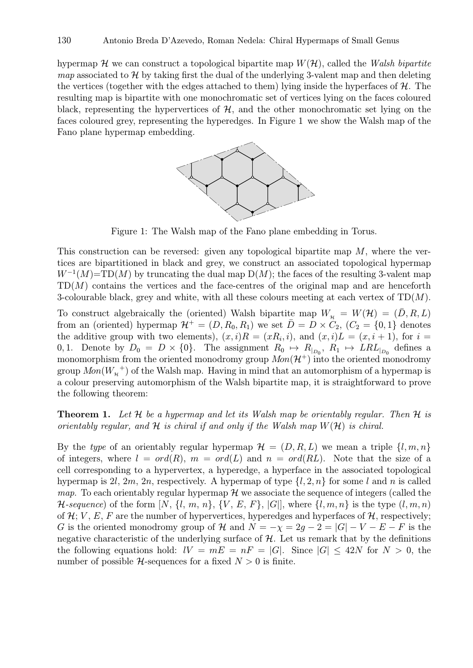hypermap  $\mathcal H$  we can construct a topological bipartite map  $W(\mathcal H)$ , called the *Walsh bipartite map* associated to  $H$  by taking first the dual of the underlying 3-valent map and then deleting the vertices (together with the edges attached to them) lying inside the hyperfaces of  $H$ . The resulting map is bipartite with one monochromatic set of vertices lying on the faces coloured black, representing the hypervertices of  $H$ , and the other monochromatic set lying on the faces coloured grey, representing the hyperedges. In Figure 1 we show the Walsh map of the Fano plane hypermap embedding.



Figure 1: The Walsh map of the Fano plane embedding in Torus.

This construction can be reversed: given any topological bipartite map  $M$ , where the vertices are bipartitioned in black and grey, we construct an associated topological hypermap  $W^{-1}(M)$ =TD(M) by truncating the dual map D(M); the faces of the resulting 3-valent map  $TD(M)$  contains the vertices and the face-centres of the original map and are henceforth 3-colourable black, grey and white, with all these colours meeting at each vertex of  $TD(M)$ .

To construct algebraically the (oriented) Walsh bipartite map  $W_{\mathcal{H}} = W(\mathcal{H}) = (\bar{D}, R, L)$ from an (oriented) hypermap  $\mathcal{H}^+ = (D, R_0, R_1)$  we set  $\overline{D} = D \times C_2$ ,  $(C_2 = \{0, 1\})$  denotes the additive group with two elements),  $(x,i)R = (xR_i,i)$ , and  $(x,i)L = (x,i+1)$ , for  $i =$ 0, 1. Denote by  $D_0 = D \times \{0\}$ . The assignment  $R_0 \mapsto R_{|_{D_0}}$ ,  $R_1 \mapsto LRL_{|_{D_0}}$  defines a monomorphism from the oriented monodromy group  $Mon(\mathcal{H}^+)$  into the oriented monodromy group  $Mon(W_{\n\pi}^+)$  of the Walsh map. Having in mind that an automorphism of a hypermap is a colour preserving automorphism of the Walsh bipartite map, it is straightforward to prove the following theorem:

Theorem 1. *Let* H *be a hypermap and let its Walsh map be orientably regular. Then* H *is orientably regular, and*  $H$  *is chiral if and only if the Walsh map*  $W(H)$  *is chiral.* 

By the *type* of an orientably regular hypermap  $\mathcal{H} = (D, R, L)$  we mean a triple  $\{l, m, n\}$ of integers, where  $l = ord(R)$ ,  $m = ord(L)$  and  $n = ord(RL)$ . Note that the size of a cell corresponding to a hypervertex, a hyperedge, a hyperface in the associated topological hypermap is 2l, 2m, 2n, respectively. A hypermap of type  $\{l, 2, n\}$  for some l and n is called *map*. To each orientably regular hypermap  $H$  we associate the sequence of integers (called the *H*-sequence) of the form  $[N, \{l, m, n\}, \{V, E, F\}, |G|]$ , where  $\{l, m, n\}$  is the type  $(l, m, n)$ of  $\mathcal{H}; V, E, F$  are the number of hypervertices, hyperedges and hyperfaces of  $\mathcal{H}$ , respectively; G is the oriented monodromy group of H and  $N = -\chi = 2g - 2 = |G| - V - E - F$  is the negative characteristic of the underlying surface of  $H$ . Let us remark that by the definitions the following equations hold:  $IV = mE = nF = |G|$ . Since  $|G| \leq 42N$  for  $N > 0$ , the number of possible  $H$ -sequences for a fixed  $N > 0$  is finite.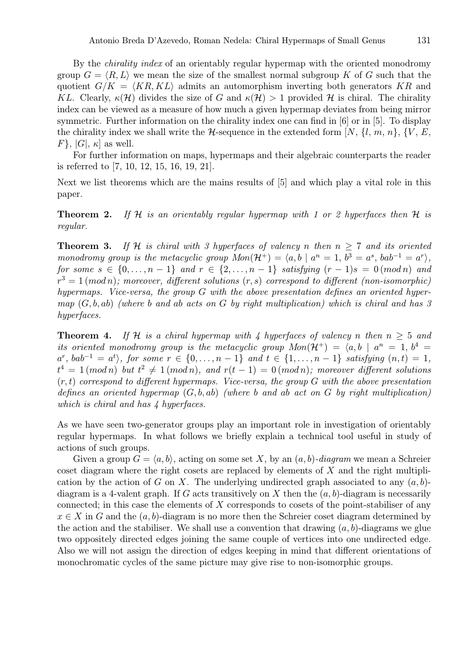By the *chirality index* of an orientably regular hypermap with the oriented monodromy group  $G = \langle R, L \rangle$  we mean the size of the smallest normal subgroup K of G such that the quotient  $G/K = \langle KR, KL \rangle$  admits an automorphism inverting both generators KR and KL. Clearly,  $\kappa(\mathcal{H})$  divides the size of G and  $\kappa(\mathcal{H}) > 1$  provided H is chiral. The chirality index can be viewed as a measure of how much a given hypermap deviates from being mirror symmetric. Further information on the chirality index one can find in [6] or in [5]. To display the chirality index we shall write the  $H$ -sequence in the extended form [N,  $\{l, m, n\}$ ,  $\{V, E,$  $F$ ,  $|G|$ ,  $\kappa$  as well.

For further information on maps, hypermaps and their algebraic counterparts the reader is referred to [7, 10, 12, 15, 16, 19, 21].

Next we list theorems which are the mains results of [5] and which play a vital role in this paper.

Theorem 2. *If* H *is an orientably regular hypermap with 1 or 2 hyperfaces then* H *is regular.*

**Theorem 3.** If H is chiral with 3 hyperfaces of valency n then  $n \geq 7$  and its oriented *monodromy group is the metacyclic group*  $Mon(\mathcal{H}^+) = \langle a, b \mid a^n = 1, b^3 = a^s, bab^{-1} = a^r \rangle$ , *for some*  $s \in \{0, ..., n-1\}$  *and*  $r \in \{2, ..., n-1\}$  *satisfying*  $(r-1)s = 0 \pmod{n}$  *and*  $r^3 = 1 \, (mod \, n);$  moreover, different solutions  $(r, s)$  correspond to different (non-isomorphic) *hypermaps. Vice-versa, the group* G *with the above presentation defines an oriented hypermap* (G, b, ab) *(where* b *and* ab *acts on* G *by right multiplication) which is chiral and has 3 hyperfaces.*

**Theorem 4.** If H is a chiral hypermap with 4 hyperfaces of valency n then  $n > 5$  and *its oriented monodromy group is the metacyclic group*  $Mon(\mathcal{H}^+) = \langle a, b \mid a^n = 1, b^4 =$  $a^r$ ,  $bab^{-1} = a^t$ , for some  $r \in \{0, ..., n-1\}$  and  $t \in \{1, ..., n-1\}$  satisfying  $(n, t) = 1$ ,  $t^4 = 1 \pmod{n}$  but  $t^2 \neq 1 \pmod{n}$ , and  $r(t-1) = 0 \pmod{n}$ ; moreover different solutions (r, t) *correspond to different hypermaps. Vice-versa, the group* G *with the above presentation defines an oriented hypermap* (G, b, ab) *(where* b *and* ab *act on* G *by right multiplication) which is chiral and has 4 hyperfaces.*

As we have seen two-generator groups play an important role in investigation of orientably regular hypermaps. In what follows we briefly explain a technical tool useful in study of actions of such groups.

Given a group  $G = \langle a, b \rangle$ , acting on some set X, by an  $(a, b)$ *-diagram* we mean a Schreier coset diagram where the right cosets are replaced by elements of  $X$  and the right multiplication by the action of G on X. The underlying undirected graph associated to any  $(a, b)$ diagram is a 4-valent graph. If G acts transitively on X then the  $(a, b)$ -diagram is necessarily connected; in this case the elements of X corresponds to cosets of the point-stabiliser of any  $x \in X$  in G and the  $(a, b)$ -diagram is no more then the Schreier coset diagram determined by the action and the stabiliser. We shall use a convention that drawing  $(a, b)$ -diagrams we glue two oppositely directed edges joining the same couple of vertices into one undirected edge. Also we will not assign the direction of edges keeping in mind that different orientations of monochromatic cycles of the same picture may give rise to non-isomorphic groups.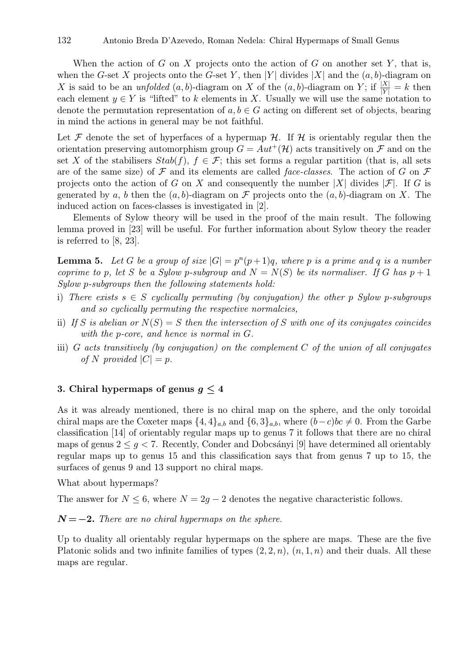When the action of G on X projects onto the action of G on another set Y, that is, when the G-set X projects onto the G-set Y, then |Y| divides |X| and the  $(a, b)$ -diagram on X is said to be an *unfolded*  $(a, b)$ -diagram on X of the  $(a, b)$ -diagram on Y; if  $\frac{|X|}{|Y|} = k$  then each element  $y \in Y$  is "lifted" to k elements in X. Usually we will use the same notation to denote the permutation representation of  $a, b \in G$  acting on different set of objects, bearing in mind the actions in general may be not faithful.

Let F denote the set of hyperfaces of a hypermap  $H$ . If H is orientably regular then the orientation preserving automorphism group  $G = Aut^{+}(\mathcal{H})$  acts transitively on  $\mathcal F$  and on the set X of the stabilisers  $Stab(f)$ ,  $f \in \mathcal{F}$ ; this set forms a regular partition (that is, all sets are of the same size) of  $\mathcal F$  and its elements are called *face-classes*. The action of  $G$  on  $\mathcal F$ projects onto the action of G on X and consequently the number |X| divides  $|\mathcal{F}|$ . If G is generated by a, b then the  $(a, b)$ -diagram on F projects onto the  $(a, b)$ -diagram on X. The induced action on faces-classes is investigated in [2].

Elements of Sylow theory will be used in the proof of the main result. The following lemma proved in [23] will be useful. For further information about Sylow theory the reader is referred to [8, 23].

**Lemma 5.** Let G be a group of size  $|G| = p^{n}(p+1)q$ , where p is a prime and q is a number *coprime to* p, let S be a Sylow p-subgroup and  $N = N(S)$  be its normaliser. If G has  $p + 1$ *Sylow* p*-subgroups then the following statements hold:*

- i) *There exists*  $s \in S$  *cyclically permuting (by conjugation) the other* p *Sylow* p-subgroups *and so cyclically permuting the respective normalcies,*
- ii) If S is abelian or  $N(S) = S$  then the intersection of S with one of its conjugates coincides *with the* p*-core, and hence is normal in* G*.*
- iii) G *acts transitively (by conjugation) on the complement* C *of the union of all conjugates of* N provided  $|C| = p$ .

# 3. Chiral hypermaps of genus  $g \leq 4$

As it was already mentioned, there is no chiral map on the sphere, and the only toroidal chiral maps are the Coxeter maps  $\{4,4\}_{a,b}$  and  $\{6,3\}_{a,b}$ , where  $(b-c)bc \neq 0$ . From the Garbe classification [14] of orientably regular maps up to genus 7 it follows that there are no chiral maps of genus  $2 \leq g < 7$ . Recently, Conder and Dobcsányi [9] have determined all orientably regular maps up to genus 15 and this classification says that from genus 7 up to 15, the surfaces of genus 9 and 13 support no chiral maps.

What about hypermaps?

The answer for  $N \leq 6$ , where  $N = 2q - 2$  denotes the negative characteristic follows.

# $N = -2$ . *There are no chiral hypermaps on the sphere.*

Up to duality all orientably regular hypermaps on the sphere are maps. These are the five Platonic solids and two infinite families of types  $(2, 2, n)$ ,  $(n, 1, n)$  and their duals. All these maps are regular.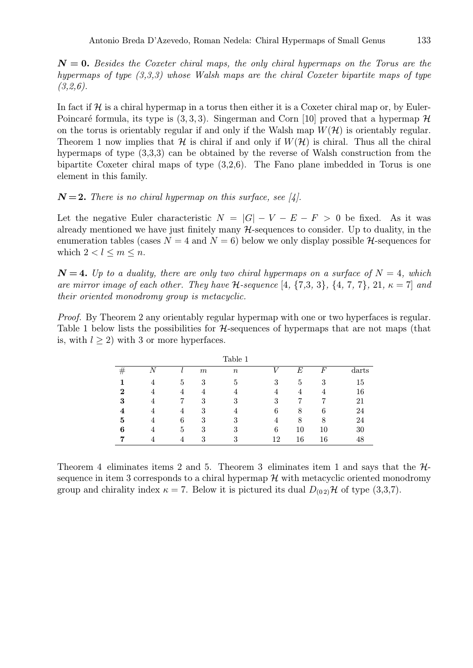$N = 0$ . *Besides the Coxeter chiral maps, the only chiral hypermaps on the Torus are the hypermaps of type (3,3,3) whose Walsh maps are the chiral Coxeter bipartite maps of type (3,2,6).*

In fact if  $\mathcal H$  is a chiral hypermap in a torus then either it is a Coxeter chiral map or, by Euler-Poincaré formula, its type is  $(3, 3, 3)$ . Singerman and Corn [10] proved that a hypermap  $\mathcal H$ on the torus is orientably regular if and only if the Walsh map  $W(\mathcal{H})$  is orientably regular. Theorem 1 now implies that H is chiral if and only if  $W(\mathcal{H})$  is chiral. Thus all the chiral hypermaps of type (3,3,3) can be obtained by the reverse of Walsh construction from the bipartite Coxeter chiral maps of type (3,2,6). The Fano plane imbedded in Torus is one element in this family.

### $N=2$ . There is no chiral hypermap on this surface, see [4].

Let the negative Euler characteristic  $N = |G| - V - E - F > 0$  be fixed. As it was already mentioned we have just finitely many  $H$ -sequences to consider. Up to duality, in the enumeration tables (cases  $N = 4$  and  $N = 6$ ) below we only display possible  $H$ -sequences for which  $2 < l \leq m \leq n$ .

 $N = 4$ . Up to a duality, there are only two chiral hypermaps on a surface of  $N = 4$ , which *are mirror image of each other. They have*  $H$ -sequence  $[4, \{7,3,3\}, \{4, 7,7\}, 21, \kappa = 7]$  and *their oriented monodromy group is metacyclic.*

*Proof.* By Theorem 2 any orientably regular hypermap with one or two hyperfaces is regular. Table 1 below lists the possibilities for  $H$ -sequences of hypermaps that are not maps (that is, with  $l > 2$ ) with 3 or more hyperfaces.

| N <sub>1</sub><br>F<br>E<br>$\,m$<br>$\it n$<br>77<br>5<br>3<br>3<br>3<br>5<br>15<br>5<br>16<br>2<br>4<br>4<br>4<br>4<br>21<br>3<br>3<br>3<br>3<br>7<br>7<br>, |  |   |   | Table 1 |   |   |   |       |
|----------------------------------------------------------------------------------------------------------------------------------------------------------------|--|---|---|---------|---|---|---|-------|
|                                                                                                                                                                |  |   |   |         |   |   |   | darts |
|                                                                                                                                                                |  |   |   |         |   |   |   |       |
|                                                                                                                                                                |  |   |   |         |   |   |   |       |
|                                                                                                                                                                |  |   |   |         |   |   |   |       |
|                                                                                                                                                                |  | 4 | 3 |         | 6 | 8 | 6 | 24    |
| 24<br>3<br>6<br>3<br>5<br>8<br>8<br>4                                                                                                                          |  |   |   |         |   |   |   |       |
| 6<br>10<br>10<br>30<br>6<br>3<br>3<br>5                                                                                                                        |  |   |   |         |   |   |   |       |
| 16<br>12<br>16<br>3<br>3<br>4<br>ŦΟ                                                                                                                            |  |   |   |         |   |   |   |       |

Theorem 4 eliminates items 2 and 5. Theorem 3 eliminates item 1 and says that the  $H$ sequence in item 3 corresponds to a chiral hypermap  $\mathcal{H}$  with metacyclic oriented monodromy group and chirality index  $\kappa = 7$ . Below it is pictured its dual  $D_{(0,2)}\mathcal{H}$  of type (3,3,7).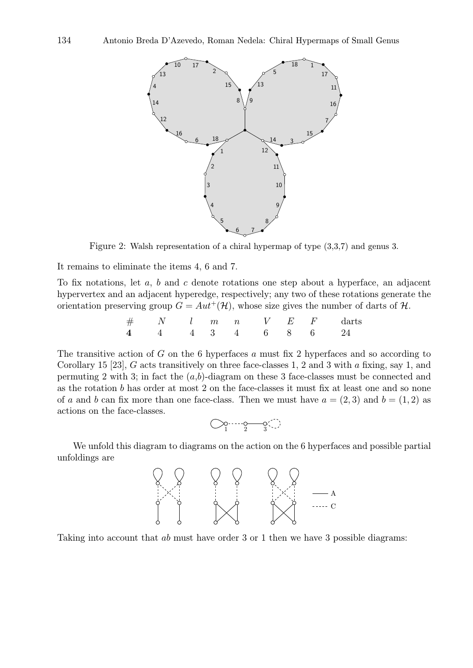

Figure 2: Walsh representation of a chiral hypermap of type (3,3,7) and genus 3.

It remains to eliminate the items 4, 6 and 7.

To fix notations, let a, b and c denote rotations one step about a hyperface, an adjacent hypervertex and an adjacent hyperedge, respectively; any two of these rotations generate the orientation preserving group  $G = Aut^{+}(\mathcal{H})$ , whose size gives the number of darts of  $\mathcal{H}$ .

$$
\begin{array}{ccccccccc}\n\# & & N & & l & m & n & & V & E & F & & \text{darts} \\
\hline\n4 & & 4 & & 4 & & 3 & & 4 & & 6 & & 8 & & 6 & & 24\n\end{array}
$$

The transitive action of  $G$  on the 6 hyperfaces  $a$  must fix 2 hyperfaces and so according to Corollary 15 [23], G acts transitively on three face-classes 1, 2 and 3 with a fixing, say 1, and permuting 2 with 3; in fact the  $(a,b)$ -diagram on these 3 face-classes must be connected and as the rotation b has order at most 2 on the face-classes it must fix at least one and so none of a and b can fix more than one face-class. Then we must have  $a = (2, 3)$  and  $b = (1, 2)$  as actions on the face-classes.

$$
\bigcirc \negthinspace\negthinspace \circ \negthinspace \negthinspace \negthinspace \circ \negthinspace \negthinspace \negthinspace \circ \negthinspace \negthinspace \circ \negthinspace \negthinspace \circ \negthinspace \circ \negthinspace \circ \negthinspace \circ \negthinspace \circ \negthinspace \circ \negthinspace \circ
$$

We unfold this diagram to diagrams on the action on the 6 hyperfaces and possible partial unfoldings are



Taking into account that ab must have order 3 or 1 then we have 3 possible diagrams: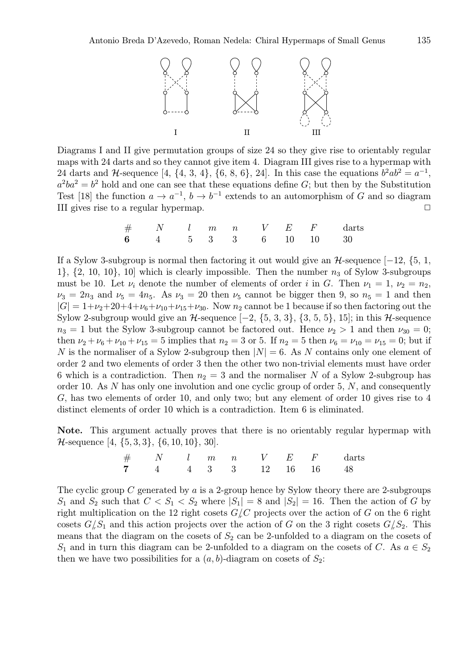

Diagrams I and II give permutation groups of size 24 so they give rise to orientably regular maps with 24 darts and so they cannot give item 4. Diagram III gives rise to a hypermap with 24 darts and H-sequence [4, {4, 3, 4}, {6, 8, 6}, 24]. In this case the equations  $b^2ab^2 = a^{-1}$ ,  $a^2ba^2 = b^2$  hold and one can see that these equations define G; but then by the Substitution Test [18] the function  $a \to a^{-1}$ ,  $b \to b^{-1}$  extends to an automorphism of G and so diagram III gives rise to a regular hypermap.  $\Box$ 

# N l m n V E F darts 6 4 5 3 3 6 10 10 30

If a Sylow 3-subgroup is normal then factoring it out would give an  $H$ -sequence [−12, {5, 1, 1},  $\{2, 10, 10\}$ , 10] which is clearly impossible. Then the number  $n_3$  of Sylow 3-subgroups must be 10. Let  $\nu_i$  denote the number of elements of order i in G. Then  $\nu_1 = 1$ ,  $\nu_2 = n_2$ ,  $\nu_3 = 2n_3$  and  $\nu_5 = 4n_5$ . As  $\nu_3 = 20$  then  $\nu_5$  cannot be bigger then 9, so  $n_5 = 1$  and then  $|G| = 1+\nu_2+20+4+\nu_6+\nu_{10}+\nu_{15}+\nu_{30}$ . Now  $n_2$  cannot be 1 because if so then factoring out the Sylow 2-subgroup would give an  $H$ -sequence  $[-2, \{5, 3, 3\}, \{3, 5, 5\}, 15]$ ; in this  $H$ -sequence  $n_3 = 1$  but the Sylow 3-subgroup cannot be factored out. Hence  $\nu_2 > 1$  and then  $\nu_{30} = 0$ ; then  $\nu_2 + \nu_6 + \nu_{10} + \nu_{15} = 5$  implies that  $n_2 = 3$  or 5. If  $n_2 = 5$  then  $\nu_6 = \nu_{10} = \nu_{15} = 0$ ; but if N is the normaliser of a Sylow 2-subgroup then  $|N| = 6$ . As N contains only one element of order 2 and two elements of order 3 then the other two non-trivial elements must have order 6 which is a contradiction. Then  $n_2 = 3$  and the normaliser N of a Sylow 2-subgroup has order 10. As  $N$  has only one involution and one cyclic group of order 5,  $N$ , and consequently G, has two elements of order 10, and only two; but any element of order 10 gives rise to 4 distinct elements of order 10 which is a contradiction. Item 6 is eliminated.

Note. This argument actually proves that there is no orientably regular hypermap with  $\mathcal{H}\text{-sequence } [4, \{5, 3, 3\}, \{6, 10, 10\}, \{30\}].$ 

|  |  |  |  | $\#$ N l m n V E F darts |
|--|--|--|--|--------------------------|
|  |  |  |  | 7 4 4 3 3 12 16 16 48    |

The cyclic group C generated by a is a 2-group hence by Sylow theory there are 2-subgroups  $S_1$  and  $S_2$  such that  $C < S_1 < S_2$  where  $|S_1| = 8$  and  $|S_2| = 16$ . Then the action of G by right multiplication on the 12 right cosets  $G/C$  projects over the action of G on the 6 right cosets  $G/S_1$  and this action projects over the action of G on the 3 right cosets  $G/S_2$ . This means that the diagram on the cosets of  $S_2$  can be 2-unfolded to a diagram on the cosets of  $S_1$  and in turn this diagram can be 2-unfolded to a diagram on the cosets of C. As  $a \in S_2$ then we have two possibilities for a  $(a, b)$ -diagram on cosets of  $S_2$ :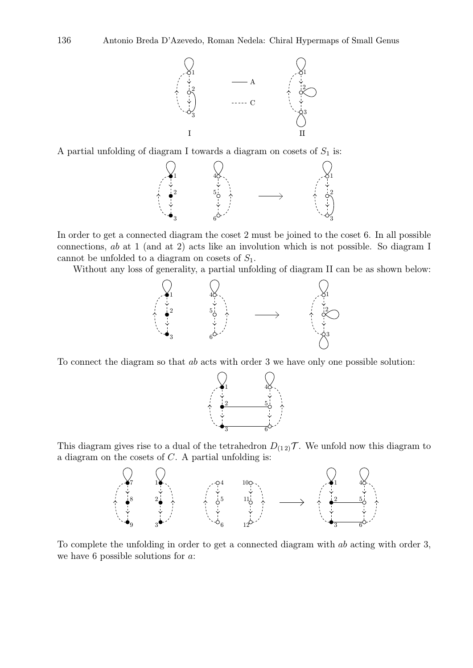

A partial unfolding of diagram I towards a diagram on cosets of  $S_1$  is:



In order to get a connected diagram the coset 2 must be joined to the coset 6. In all possible connections, ab at 1 (and at 2) acts like an involution which is not possible. So diagram I cannot be unfolded to a diagram on cosets of  $S_1$ .

Without any loss of generality, a partial unfolding of diagram II can be as shown below:



To connect the diagram so that ab acts with order 3 we have only one possible solution:



This diagram gives rise to a dual of the tetrahedron  $D_{(12)}\mathcal{T}$ . We unfold now this diagram to a diagram on the cosets of C. A partial unfolding is:



To complete the unfolding in order to get a connected diagram with ab acting with order 3, we have 6 possible solutions for a: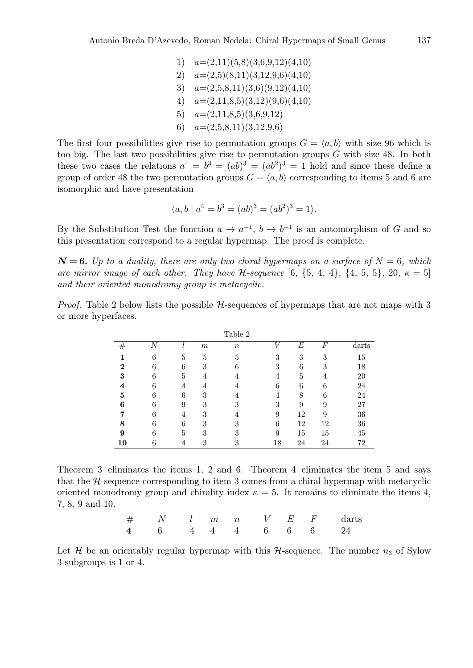1)  $a=(2,11)(5,8)(3,6,9,12)(4,10)$ 2)  $a=(2,5)(8,11)(3,12,9,6)(4,10)$ 3)  $a=(2,5,8,11)(3,6)(9,12)(4,10)$ 4)  $a=(2,11,8,5)(3,12)(9,6)(4,10)$ 5)  $a=(2,11,8,5)(3,6,9,12)$ 6)  $a=(2,5,8,11)(3,12,9,6)$ 

The first four possibilities give rise to permutation groups  $G = \langle a, b \rangle$  with size 96 which is too big. The last two possibilities give rise to permutation groups G with size 48. In both these two cases the relations  $a^4 = b^3 = (ab)^3 = (ab^2)^3 = 1$  hold and since these define a group of order 48 the two permutation groups  $G = \langle a, b \rangle$  corresponding to items 5 and 6 are isomorphic and have presentation

$$
\langle a, b \mid a^4 = b^3 = (ab)^3 = (ab^2)^3 = 1 \rangle.
$$

By the Substitution Test the function  $a \to a^{-1}$ ,  $b \to b^{-1}$  is an automorphism of G and so this presentation correspond to a regular hypermap. The proof is complete.

 $N = 6$ . Up to a duality, there are only two chiral hypermaps on a surface of  $N = 6$ , which *are mirror image of each other. They have H-sequence* [6,  $\{5, 4, 4\}$ ,  $\{4, 5, 5\}$ , 20,  $\kappa = 5$ ] *and their oriented monodromy group is metacyclic.*

*Proof.* Table 2 below lists the possible  $H$ -sequences of hypermaps that are not maps with 3 or more hyperfaces.

|    |   |   |       | Table 2          |    |    |                  |       |
|----|---|---|-------|------------------|----|----|------------------|-------|
| #  | N |   | $\,m$ | $\boldsymbol{n}$ | т, | E  | $\boldsymbol{F}$ | darts |
|    | 6 | 5 | 5     | 5                | 3  | 3  | 3                | 15    |
| 2  | 6 | 6 | 3     | 6                | 3  | 6  | 3                | 18    |
| 3  | 6 | 5 | 4     |                  |    | 5  |                  | 20    |
|    | 6 | 4 |       |                  | 6  | 6  | 6                | 24    |
| 5  | 6 | 6 | 3     |                  |    | 8  | 6                | 24    |
| 6  | 6 | 9 | 3     | 3                | 3  | 9  | 9                | 27    |
|    | 6 | 4 | 3     |                  | 9  | 12 | 9                | 36    |
| 8  | 6 | 6 | 3     | 3                | 6  | 12 | 12               | 36    |
| 9  | 6 | 5 | 3     | 3                | 9  | 15 | 15               | 45    |
| 10 | 6 | 4 | 3     | 3                | 18 | 24 | 24               | 72    |

Theorem 3 eliminates the items 1, 2 and 6. Theorem 4 eliminates the item 5 and says that the  $H$ -sequence corresponding to item 3 comes from a chiral hypermap with metacyclic oriented monodromy group and chirality index  $\kappa = 5$ . It remains to eliminate the items 4, 7, 8, 9 and 10.

|  |  |  |  | $\#$ N l m n V E F darts                |
|--|--|--|--|-----------------------------------------|
|  |  |  |  | $4 \t 6 \t 4 \t 4 \t 6 \t 6 \t 6 \t 24$ |

Let H be an orientably regular hypermap with this H-sequence. The number  $n_3$  of Sylow 3-subgroups is 1 or 4.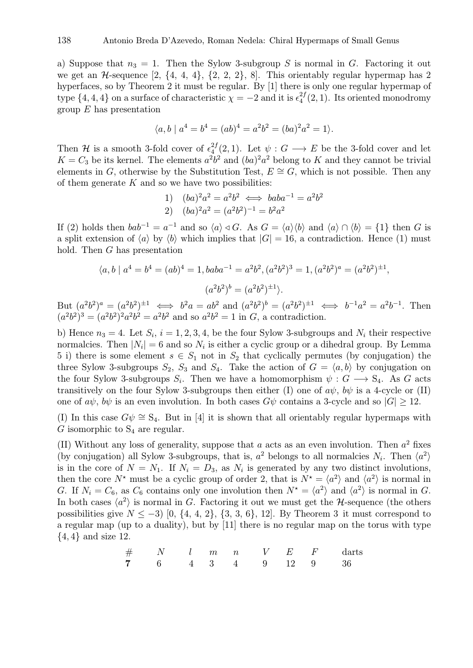a) Suppose that  $n_3 = 1$ . Then the Sylow 3-subgroup S is normal in G. Factoring it out we get an  $\mathcal{H}$ -sequence  $[2, \{4, 4, 4\}, \{2, 2, 2\}, 8]$ . This orientably regular hypermap has 2 hyperfaces, so by Theorem 2 it must be regular. By [1] there is only one regular hypermap of type  $\{4, 4, 4\}$  on a surface of characteristic  $\chi = -2$  and it is  $\epsilon_4^{2f}$  $\binom{2J}{4}(2,1)$ . Its oriented monodromy group  $E$  has presentation

$$
\langle a, b \mid a^4 = b^4 = (ab)^4 = a^2b^2 = (ba)^2a^2 = 1 \rangle.
$$

Then H is a smooth 3-fold cover of  $\epsilon_4^{2f}$  $\frac{^{2J}(2,1)}{^{4}}$ . Let  $\psi$  :  $G \longrightarrow E$  be the 3-fold cover and let  $K = C_3$  be its kernel. The elements  $a^2b^2$  and  $(ba)^2a^2$  belong to K and they cannot be trivial elements in G, otherwise by the Substitution Test,  $E \cong G$ , which is not possible. Then any of them generate  $K$  and so we have two possibilities:

1) 
$$
(ba)^2 a^2 = a^2 b^2 \iff bab a^{-1} = a^2 b^2
$$
  
2)  $(ba)^2 a^2 = (a^2 b^2)^{-1} = b^2 a^2$ 

If (2) holds then  $bab^{-1} = a^{-1}$  and so  $\langle a \rangle \triangleleft G$ . As  $G = \langle a \rangle \langle b \rangle$  and  $\langle a \rangle \cap \langle b \rangle = \{1\}$  then G is a split extension of  $\langle a \rangle$  by  $\langle b \rangle$  which implies that  $|G| = 16$ , a contradiction. Hence (1) must hold. Then G has presentation

$$
\langle a, b \mid a^4 = b^4 = (ab)^4 = 1, baba^{-1} = a^2b^2, (a^2b^2)^3 = 1, (a^2b^2)^a = (a^2b^2)^{\pm 1},
$$

$$
(a^2b^2)^b = (a^2b^2)^{\pm 1}.
$$

But  $(a^2b^2)^a = (a^2b^2)^{\pm 1} \iff b^2a = ab^2$  and  $(a^2b^2)^b = (a^2b^2)^{\pm 1} \iff b^{-1}a^2 = a^2b^{-1}$ . Then  $(a^2b^2)^3 = (a^2b^2)^2a^2b^2 = a^2b^2$  and so  $a^2b^2 = 1$  in G, a contradiction.

b) Hence  $n_3 = 4$ . Let  $S_i$ ,  $i = 1, 2, 3, 4$ , be the four Sylow 3-subgroups and  $N_i$  their respective normalcies. Then  $|N_i| = 6$  and so  $N_i$  is either a cyclic group or a dihedral group. By Lemma 5 i) there is some element  $s \in S_1$  not in  $S_2$  that cyclically permutes (by conjugation) the three Sylow 3-subgroups  $S_2$ ,  $S_3$  and  $S_4$ . Take the action of  $G = \langle a, b \rangle$  by conjugation on the four Sylow 3-subgroups  $S_i$ . Then we have a homomorphism  $\psi : G \longrightarrow S_4$ . As G acts transitively on the four Sylow 3-subgroups then either (I) one of  $a\psi$ ,  $b\psi$  is a 4-cycle or (II) one of  $a\psi$ ,  $b\psi$  is an even involution. In both cases  $G\psi$  contains a 3-cycle and so  $|G| \geq 12$ .

(I) In this case  $G\psi \cong S_4$ . But in [4] it is shown that all orientably regular hypermaps with  $G$  isomorphic to  $S_4$  are regular.

(II) Without any loss of generality, suppose that a acts as an even involution. Then  $a^2$  fixes (by conjugation) all Sylow 3-subgroups, that is,  $a^2$  belongs to all normalcies  $N_i$ . Then  $\langle a^2 \rangle$ is in the core of  $N = N_1$ . If  $N_i = D_3$ , as  $N_i$  is generated by any two distinct involutions, then the core  $N^*$  must be a cyclic group of order 2, that is  $N^* = \langle a^2 \rangle$  and  $\langle a^2 \rangle$  is normal in G. If  $N_i = C_6$ , as  $C_6$  contains only one involution then  $N^* = \langle a^2 \rangle$  and  $\langle a^2 \rangle$  is normal in G. In both cases  $\langle a^2 \rangle$  is normal in G. Factoring it out we must get the H-sequence (the others possibilities give  $N \le -3$ ) [0, {4, 4, 2}, {3, 3, 6}, 12]. By Theorem 3 it must correspond to a regular map (up to a duality), but by [11] there is no regular map on the torus with type  $\{4,4\}$  and size 12.

$$
\begin{array}{ccccccccc}\n\# & & N & & l & m & n & & V & E & F & & \text{darts} \\
\textbf{7} & & 6 & & 4 & 3 & 4 & 9 & 12 & 9 & 36\n\end{array}
$$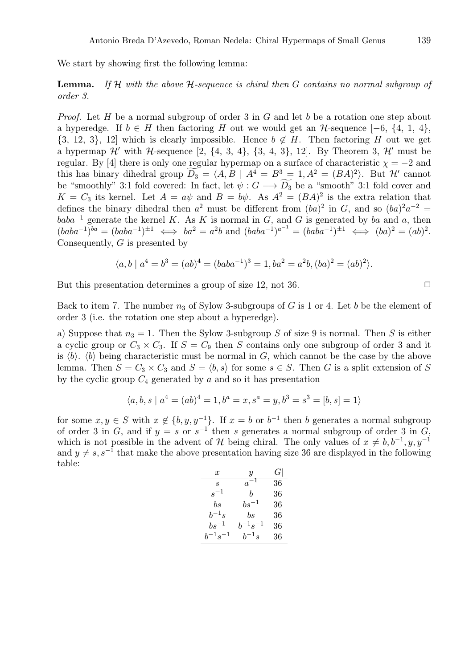We start by showing first the following lemma:

Lemma. *If* H *with the above* H*-sequence is chiral then* G *contains no normal subgroup of order 3.*

*Proof.* Let H be a normal subgroup of order 3 in G and let b be a rotation one step about a hyperedge. If  $b \in H$  then factoring H out we would get an H-sequence [-6, {4, 1, 4},  $\{3, 12, 3\},$  12] which is clearly impossible. Hence  $b \notin H$ . Then factoring H out we get a hypermap  $\mathcal{H}'$  with H-sequence [2, {4, 3, 4}, {3, 4, 3}, 12]. By Theorem 3,  $\mathcal{H}'$  must be regular. By [4] there is only one regular hypermap on a surface of characteristic  $\chi = -2$  and this has binary dihedral group  $\widetilde{D_3} = \langle A, B | A^4 = B^3 = 1, A^2 = (BA)^2 \rangle$ . But H' cannot be "smoothly" 3:1 fold covered: In fact, let  $\psi: G \longrightarrow \widetilde{D_3}$  be a "smooth" 3:1 fold cover and  $K = C_3$  its kernel. Let  $A = a\psi$  and  $B = b\psi$ . As  $A^2 = (BA)^2$  is the extra relation that defines the binary dihedral then  $a^2$  must be different from  $(ba)^2$  in G, and so  $(ba)^2a^{-2}$  =  $baba^{-1}$  generate the kernel K. As K is normal in G, and G is generated by ba and a, then  $(baba^{-1})^{ba} = (baba^{-1})^{\pm 1} \iff ba^2 = a^2b \text{ and } (baba^{-1})^{a^{-1}} = (baba^{-1})^{\pm 1} \iff (ba)^2 = (ab)^2.$ Consequently,  $G$  is presented by

$$
\langle a, b \mid a^4 = b^3 = (ab)^4 = (baba^{-1})^3 = 1, ba^2 = a^2b, (ba)^2 = (ab)^2.
$$

But this presentation determines a group of size 12, not 36.  $\Box$ 

Back to item 7. The number  $n_3$  of Sylow 3-subgroups of G is 1 or 4. Let b be the element of order 3 (i.e. the rotation one step about a hyperedge).

a) Suppose that  $n_3 = 1$ . Then the Sylow 3-subgroup S of size 9 is normal. Then S is either a cyclic group or  $C_3 \times C_3$ . If  $S = C_9$  then S contains only one subgroup of order 3 and it is  $\langle b \rangle$ .  $\langle b \rangle$  being characteristic must be normal in G, which cannot be the case by the above lemma. Then  $S = C_3 \times C_3$  and  $S = \langle b, s \rangle$  for some  $s \in S$ . Then G is a split extension of S by the cyclic group  $C_4$  generated by a and so it has presentation

$$
\langle a, b, s \mid a^4 = (ab)^4 = 1, b^a = x, s^a = y, b^3 = s^3 = [b, s] = 1 \rangle
$$

for some  $x, y \in S$  with  $x \notin \{b, y, y^{-1}\}$ . If  $x = b$  or  $b^{-1}$  then b generates a normal subgroup of order 3 in G, and if  $y = s$  or  $s^{-1}$  then s generates a normal subgroup of order 3 in G, which is not possible in the advent of H being chiral. The only values of  $x \neq b, b^{-1}, y, y^{-1}$ and  $y \neq s, s^{-1}$  that make the above presentation having size 36 are displayed in the following table:

| $\boldsymbol{x}$ | Y              | G  |
|------------------|----------------|----|
| S                | $a^{-1}$       | 36 |
| $s^{-1}$         | h              | 36 |
| bs               | $bs^{-1}$      | 36 |
| $b^{-1}s$        | bs             | 36 |
| $bs^{-1}$        | $h^{-1}s^{-1}$ | 36 |
| $b^{-1}s^{-1}$   | $h^{-1}s$      | 36 |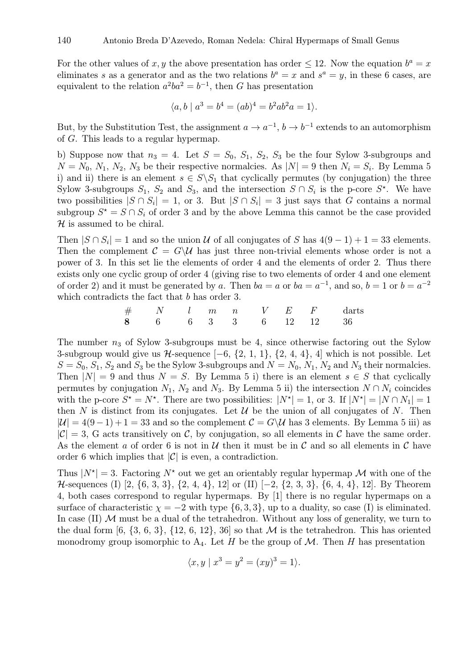For the other values of x, y the above presentation has order  $\leq 12$ . Now the equation  $b^a = x$ eliminates s as a generator and as the two relations  $b^a = x$  and  $s^a = y$ , in these 6 cases, are equivalent to the relation  $a^2ba^2 = b^{-1}$ , then G has presentation

$$
\langle a, b \mid a^3 = b^4 = (ab)^4 = b^2ab^2a = 1 \rangle.
$$

But, by the Substitution Test, the assignment  $a \to a^{-1}$ ,  $b \to b^{-1}$  extends to an automorphism of G. This leads to a regular hypermap.

b) Suppose now that  $n_3 = 4$ . Let  $S = S_0$ ,  $S_1$ ,  $S_2$ ,  $S_3$  be the four Sylow 3-subgroups and  $N = N_0, N_1, N_2, N_3$  be their respective normalcies. As  $|N| = 9$  then  $N_i = S_i$ . By Lemma 5 i) and ii) there is an element  $s \in S \backslash S_1$  that cyclically permutes (by conjugation) the three Sylow 3-subgroups  $S_1$ ,  $S_2$  and  $S_3$ , and the intersection  $S \cap S_i$  is the p-core  $S^*$ . We have two possibilities  $|S \cap S_i| = 1$ , or 3. But  $|S \cap S_i| = 3$  just says that G contains a normal subgroup  $S^* = S \cap S_i$  of order 3 and by the above Lemma this cannot be the case provided  $H$  is assumed to be chiral.

Then  $|S \cap S_i| = 1$  and so the union U of all conjugates of S has  $4(9-1) + 1 = 33$  elements. Then the complement  $\mathcal{C} = G \backslash \mathcal{U}$  has just three non-trivial elements whose order is not a power of 3. In this set lie the elements of order 4 and the elements of order 2. Thus there exists only one cyclic group of order 4 (giving rise to two elements of order 4 and one element of order 2) and it must be generated by a. Then  $ba = a$  or  $ba = a^{-1}$ , and so,  $b = 1$  or  $b = a^{-2}$ which contradicts the fact that b has order 3.

# N l m n V E F darts 8 6 6 3 3 6 12 12 36

The number  $n_3$  of Sylow 3-subgroups must be 4, since otherwise factoring out the Sylow 3-subgroup would give us  $H$ -sequence  $[-6, \{2, 1, 1\}, \{2, 4, 4\}, 4]$  which is not possible. Let  $S = S_0, S_1, S_2$  and  $S_3$  be the Sylow 3-subgroups and  $N = N_0, N_1, N_2$  and  $N_3$  their normalcies. Then  $|N| = 9$  and thus  $N = S$ . By Lemma 5 i) there is an element  $s \in S$  that cyclically permutes by conjugation  $N_1$ ,  $N_2$  and  $N_3$ . By Lemma 5 ii) the intersection  $N \cap N_i$  coincides with the p-core  $S^* = N^*$ . There are two possibilities:  $|N^*| = 1$ , or 3. If  $|N^*| = |N \cap N_1| = 1$ then N is distinct from its conjugates. Let  $\mathcal U$  be the union of all conjugates of N. Then  $|\mathcal{U}| = 4(9-1) + 1 = 33$  and so the complement  $\mathcal{C} = G\backslash\mathcal{U}$  has 3 elements. By Lemma 5 iii) as  $|\mathcal{C}| = 3$ , G acts transitively on C, by conjugation, so all elements in C have the same order. As the element a of order 6 is not in  $U$  then it must be in  $C$  and so all elements in  $C$  have order 6 which implies that  $|\mathcal{C}|$  is even, a contradiction.

Thus  $|N^*|=3$ . Factoring  $N^*$  out we get an orientably regular hypermap M with one of the H-sequences (I) [2, {6, 3, 3}, {2, 4, 4}, 12] or (II) [−2, {2, 3, 3}, {6, 4, 4}, 12]. By Theorem 4, both cases correspond to regular hypermaps. By [1] there is no regular hypermaps on a surface of characteristic  $\chi = -2$  with type  $\{6, 3, 3\}$ , up to a duality, so case (I) is eliminated. In case  $(II)$  M must be a dual of the tetrahedron. Without any loss of generality, we turn to the dual form  $[6, \{3, 6, 3\}, \{12, 6, 12\}, 36]$  so that M is the tetrahedron. This has oriented monodromy group isomorphic to  $A_4$ . Let H be the group of M. Then H has presentation

$$
\langle x, y \mid x^3 = y^2 = (xy)^3 = 1 \rangle.
$$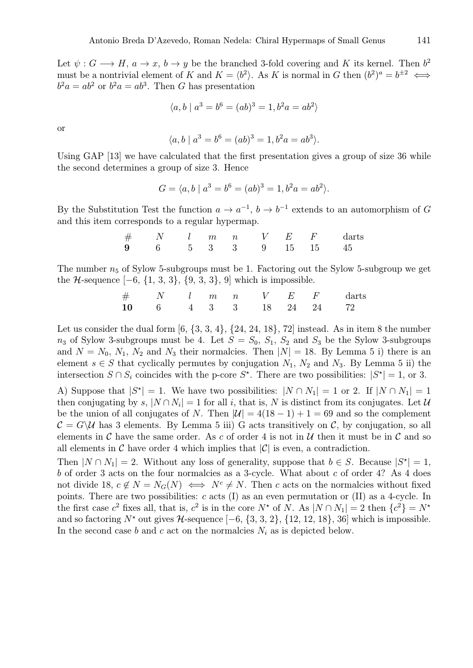Let  $\psi: G \longrightarrow H$ ,  $a \longrightarrow x$ ,  $b \longrightarrow y$  be the branched 3-fold covering and K its kernel. Then  $b^2$ must be a nontrivial element of K and  $K = \langle b^2 \rangle$ . As K is normal in G then  $(b^2)^a = b^{\pm 2} \iff$  $b^2a = ab^2$  or  $b^2a = ab^3$ . Then G has presentation

$$
\langle a, b \mid a^3 = b^6 = (ab)^3 = 1, b^2a = ab^2 \rangle
$$

or

$$
\langle a, b \mid a^3 = b^6 = (ab)^3 = 1, b^2a = ab^3 \rangle.
$$

Using GAP [13] we have calculated that the first presentation gives a group of size 36 while the second determines a group of size 3. Hence

$$
G = \langle a, b \mid a^3 = b^6 = (ab)^3 = 1, b^2a = ab^2 \rangle.
$$

By the Substitution Test the function  $a \to a^{-1}$ ,  $b \to b^{-1}$  extends to an automorphism of G and this item corresponds to a regular hypermap.

|  |  |  | $\#$ N l m n V E F darts |  |
|--|--|--|--------------------------|--|
|  |  |  | 9 6 5 3 3 9 15 15 45     |  |

The number  $n_5$  of Sylow 5-subgroups must be 1. Factoring out the Sylow 5-subgroup we get the  $H$ -sequence  $[-6, \{1, 3, 3\}, \{9, 3, 3\}, 9]$  which is impossible.

|  |  |  |  | $#$ N l m n V E F darts |
|--|--|--|--|-------------------------|
|  |  |  |  | 10 6 4 3 3 18 24 24 72  |

Let us consider the dual form  $[6, \{3, 3, 4\}, \{24, 24, 18\}, 72]$  instead. As in item 8 the number  $n_3$  of Sylow 3-subgroups must be 4. Let  $S = S_0$ ,  $S_1$ ,  $S_2$  and  $S_3$  be the Sylow 3-subgroups and  $N = N_0, N_1, N_2$  and  $N_3$  their normalcies. Then  $|N| = 18$ . By Lemma 5 i) there is an element  $s \in S$  that cyclically permutes by conjugation  $N_1$ ,  $N_2$  and  $N_3$ . By Lemma 5 ii) the intersection  $S \cap S_i$  coincides with the p-core  $S^*$ . There are two possibilities:  $|S^*| = 1$ , or 3.

A) Suppose that  $|S^*| = 1$ . We have two possibilities:  $|N \cap N_1| = 1$  or 2. If  $|N \cap N_1| = 1$ then conjugating by s,  $|N \cap N_i| = 1$  for all i, that is, N is distinct from its conjugates. Let U be the union of all conjugates of N. Then  $|\mathcal{U}| = 4(18 - 1) + 1 = 69$  and so the complement  $\mathcal{C} = G \backslash \mathcal{U}$  has 3 elements. By Lemma 5 iii) G acts transitively on C, by conjugation, so all elements in  $\mathcal C$  have the same order. As c of order 4 is not in  $\mathcal U$  then it must be in  $\mathcal C$  and so all elements in C have order 4 which implies that  $|\mathcal{C}|$  is even, a contradiction.

Then  $|N \cap N_1| = 2$ . Without any loss of generality, suppose that  $b \in S$ . Because  $|S^*| = 1$ , b of order 3 acts on the four normalcies as a 3-cycle. What about c of order 4? As 4 does not divide 18,  $c \notin N = N_G(N) \iff N^c \neq N$ . Then c acts on the normalcies without fixed points. There are two possibilities: c acts (I) as an even permutation or (II) as a 4-cycle. In the first case  $c^2$  fixes all, that is,  $c^2$  is in the core  $N^*$  of N. As  $|N \cap N_1| = 2$  then  $\{c^2\} = N^*$ and so factoring  $N^*$  out gives  $H$ -sequence  $[-6, \{3, 3, 2\}, \{12, 12, 18\}, 36]$  which is impossible. In the second case b and c act on the normalcies  $N_i$  as is depicted below.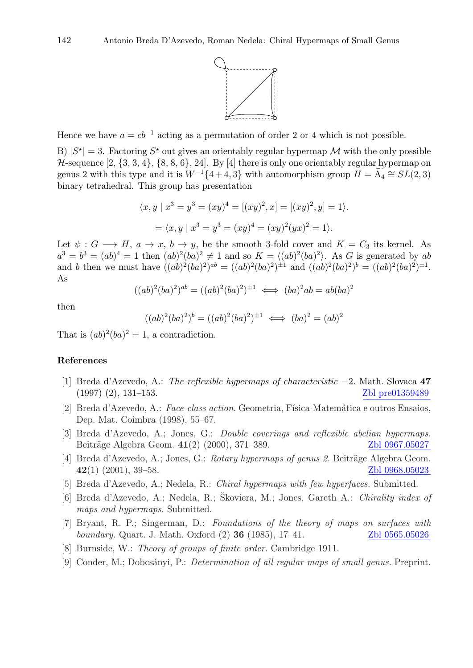

Hence we have  $a = cb^{-1}$  acting as a permutation of order 2 or 4 which is not possible.

B)  $|S^*| = 3$ . Factoring  $S^*$  out gives an orientably regular hypermap M with the only possible  $H$ -sequence  $[2, \{3, 3, 4\}, \{8, 8, 6\}, 24]$ . By [4] there is only one orientably regular hypermap on genus 2 with this type and it is  $W^{-1}{4+4,3}$  with automorphism group  $H = \widetilde{A_4} \cong SL(2,3)$ binary tetrahedral. This group has presentation

$$
\langle x, y \mid x^3 = y^3 = (xy)^4 = [(xy)^2, x] = [(xy)^2, y] = 1 \rangle.
$$
  
= 
$$
\langle x, y \mid x^3 = y^3 = (xy)^4 = (xy)^2(yx)^2 = 1 \rangle.
$$

Let  $\psi : G \longrightarrow H$ ,  $a \rightarrow x$ ,  $b \rightarrow y$ , be the smooth 3-fold cover and  $K = C_3$  its kernel. As  $a^3 = b^3 = (ab)^4 = 1$  then  $(ab)^2(ba)^2 \neq 1$  and so  $K = \langle (ab)^2(ba)^2 \rangle$ . As G is generated by ab and b then we must have  $((ab)^2(ba)^2)^{ab} = ((ab)^2(ba)^2)^{\pm 1}$  and  $((ab)^2(ba)^2)^b = ((ab)^2(ba)^2)^{\pm 1}$ . As

$$
((ab)^2(ba)^2)^{ab} = ((ab)^2(ba)^2)^{\pm 1} \iff (ba)^2ab = ab(ba)^2
$$

then

$$
((ab)^2(ba)^2)^b = ((ab)^2(ba)^2)^{\pm 1} \iff (ba)^2 = (ab)^2
$$

That is  $(ab)^2(ba)^2=1$ , a contradiction.

#### References

- [1] Breda d'Azevedo, A.: *The reflexible hypermaps of characteristic* −2*.* Math. Slovaca 47  $(1997)$   $(2), 131-153.$ Zbl pre01359489
- [2] Breda d'Azevedo, A.: *Face-class action.* Geometria, Física-Matemática e outros Ensaios, Dep. Mat. Coimbra (1998), 55–67.
- [3] Breda d'Azevedo, A.; Jones, G.: *Double coverings and reflexible abelian hypermaps.* Beiträge Algebra Geom. 41(2) (2000), 371–389. [Zbl 0967.05027](http://www.emis.de/MATH-item?0967.05027)
- [4] Breda d'Azevedo, A.; Jones, G.: *Rotary hypermaps of genus 2*. Beiträge Algebra Geom.  $42(1)$  (2001), 39–58.  $Zbl$  0968.05023
- [5] Breda d'Azevedo, A.; Nedela, R.: *Chiral hypermaps with few hyperfaces.* Submitted.
- [6] Breda d'Azevedo, A.; Nedela, R.; Skoviera, M.; Jones, Gareth A.: ˘ *Chirality index of maps and hypermaps.* Submitted.
- [7] Bryant, R. P.; Singerman, D.: *Foundations of the theory of maps on surfaces with boundary.* Quart. J. Math. Oxford (2) 36 (1985), 17–41. [Zbl 0565.05026](http://www.emis.de/MATH-item?0565.05026)
- [8] Burnside, W.: *Theory of groups of finite order.* Cambridge 1911.
- [9] Conder, M.; Dobcs´anyi, P.: *Determination of all regular maps of small genus.* Preprint.